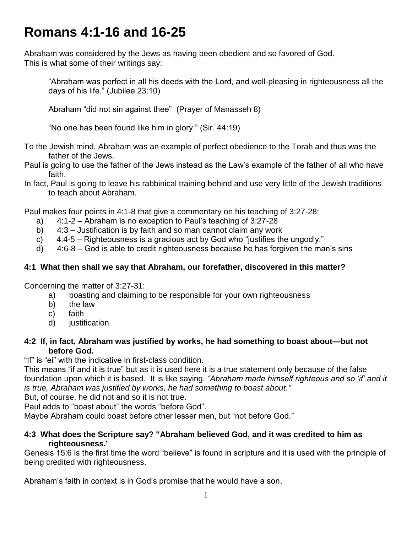# **Romans 4:1-16 and 16-25**

Abraham was considered by the Jews as having been obedient and so favored of God. This is what some of their writings say:

"Abraham was perfect in all his deeds with the Lord, and well-pleasing in righteousness all the days of his life." (Jubilee 23:10)

Abraham "did not sin against thee" (Prayer of Manasseh 8)

"No one has been found like him in glory." (Sir. 44:19)

- To the Jewish mind, Abraham was an example of perfect obedience to the Torah and thus was the father of the Jews.
- Paul is going to use the father of the Jews instead as the Law's example of the father of all who have faith.
- In fact, Paul is going to leave his rabbinical training behind and use very little of the Jewish traditions to teach about Abraham.

Paul makes four points in 4:1-8 that give a commentary on his teaching of 3:27-28:

- a) 4:1-2 Abraham is no exception to Paul's teaching of 3:27-28
- b) 4:3 Justification is by faith and so man cannot claim any work
- c) 4:4-5 Righteousness is a gracious act by God who "justifies the ungodly."
- d)  $4:6-8$  God is able to credit righteousness because he has forgiven the man's sins

### **4:1 What then shall we say that Abraham, our forefather, discovered in this matter?**

Concerning the matter of 3:27-31:

- a) boasting and claiming to be responsible for your own righteousness
- b) the law
- c) faith
- d) iustification

#### **4:2 If, in fact, Abraham was justified by works, he had something to boast about—but not before God.**

"If" is "ei" with the indicative in first-class condition.

This means "if and it is true" but as it is used here it is a true statement only because of the false foundation upon which it is based. It is like saying, *"Abraham made himself righteous and so 'if' and it is true, Abraham was justified by works, he had something to boast about."*

But, of course, he did not and so it is not true.

Paul adds to "boast about" the words "before God".

Maybe Abraham could boast before other lesser men, but "not before God."

#### **4:3 What does the Scripture say? "Abraham believed God, and it was credited to him as righteousness.**"

Genesis 15:6 is the first time the word "believe" is found in scripture and it is used with the principle of being credited with righteousness.

Abraham's faith in context is in God's promise that he would have a son.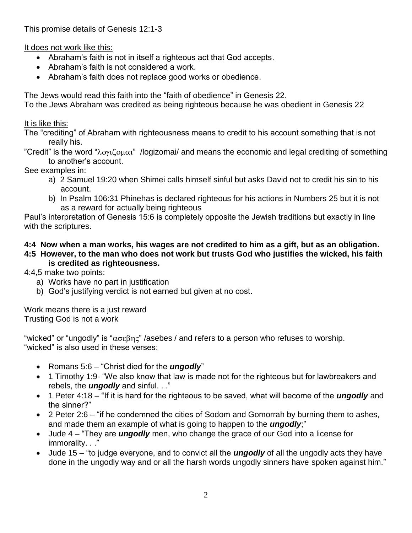This promise details of Genesis 12:1-3

It does not work like this:

- Abraham's faith is not in itself a righteous act that God accepts.
- Abraham's faith is not considered a work.
- Abraham's faith does not replace good works or obedience.

The Jews would read this faith into the "faith of obedience" in Genesis 22.

To the Jews Abraham was credited as being righteous because he was obedient in Genesis 22

It is like this:

The "crediting" of Abraham with righteousness means to credit to his account something that is not really his.

"Credit" is the word " $\lambda$ oyi $\zeta$ oµ $\alpha$ i" /logizomai/ and means the economic and legal crediting of something to another's account.

See examples in:

- a) 2 Samuel 19:20 when Shimei calls himself sinful but asks David not to credit his sin to his account.
- b) In Psalm 106:31 Phinehas is declared righteous for his actions in Numbers 25 but it is not as a reward for actually being righteous

Paul's interpretation of Genesis 15:6 is completely opposite the Jewish traditions but exactly in line with the scriptures.

## **4:4 Now when a man works, his wages are not credited to him as a gift, but as an obligation.**

**4:5 However, to the man who does not work but trusts God who justifies the wicked, his faith is credited as righteousness.**

4:4,5 make two points:

- a) Works have no part in justification
- b) God's justifying verdict is not earned but given at no cost.

Work means there is a just reward Trusting God is not a work

"wicked" or "ungodly" is " $\alpha \sigma \epsilon \beta \eta \zeta$ " /asebes / and refers to a person who refuses to worship. "wicked" is also used in these verses:

- Romans 5:6 "Christ died for the *ungodly*"
- 1 Timothy 1:9- "We also know that law is made not for the righteous but for lawbreakers and rebels, the *ungodly* and sinful. . ."
- 1 Peter 4:18 "If it is hard for the righteous to be saved, what will become of the *ungodly* and the sinner?"
- 2 Peter 2:6 "if he condemned the cities of Sodom and Gomorrah by burning them to ashes, and made them an example of what is going to happen to the *ungodly*;"
- Jude 4 "They are *ungodly* men, who change the grace of our God into a license for immorality. . ."
- Jude 15 "to judge everyone, and to convict all the *ungodly* of all the ungodly acts they have done in the ungodly way and or all the harsh words ungodly sinners have spoken against him."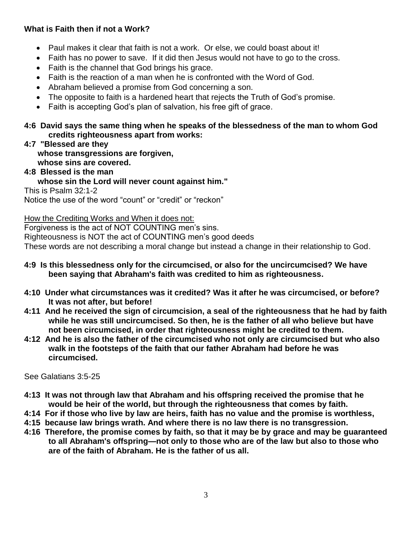## **What is Faith then if not a Work?**

- Paul makes it clear that faith is not a work. Or else, we could boast about it!
- Faith has no power to save. If it did then Jesus would not have to go to the cross.
- Faith is the channel that God brings his grace.
- Faith is the reaction of a man when he is confronted with the Word of God.
- Abraham believed a promise from God concerning a son.
- The opposite to faith is a hardened heart that rejects the Truth of God's promise.
- Faith is accepting God's plan of salvation, his free gift of grace.

#### **4:6 David says the same thing when he speaks of the blessedness of the man to whom God credits righteousness apart from works:**

- **4:7 "Blessed are they whose transgressions are forgiven, whose sins are covered.**
- **4:8 Blessed is the man**

## **whose sin the Lord will never count against him."**

This is Psalm 32:1-2

Notice the use of the word "count" or "credit" or "reckon"

How the Crediting Works and When it does not:

Forgiveness is the act of NOT COUNTING men's sins.

Righteousness is NOT the act of COUNTING men's good deeds

These words are not describing a moral change but instead a change in their relationship to God.

- **4:9 Is this blessedness only for the circumcised, or also for the uncircumcised? We have been saying that Abraham's faith was credited to him as righteousness.**
- **4:10 Under what circumstances was it credited? Was it after he was circumcised, or before? It was not after, but before!**
- **4:11 And he received the sign of circumcision, a seal of the righteousness that he had by faith while he was still uncircumcised. So then, he is the father of all who believe but have not been circumcised, in order that righteousness might be credited to them.**
- **4:12 And he is also the father of the circumcised who not only are circumcised but who also walk in the footsteps of the faith that our father Abraham had before he was circumcised.**

See Galatians 3:5-25

- **4:13 It was not through law that Abraham and his offspring received the promise that he would be heir of the world, but through the righteousness that comes by faith.**
- **4:14 For if those who live by law are heirs, faith has no value and the promise is worthless,**
- **4:15 because law brings wrath. And where there is no law there is no transgression.**
- **4:16 Therefore, the promise comes by faith, so that it may be by grace and may be guaranteed to all Abraham's offspring—not only to those who are of the law but also to those who are of the faith of Abraham. He is the father of us all.**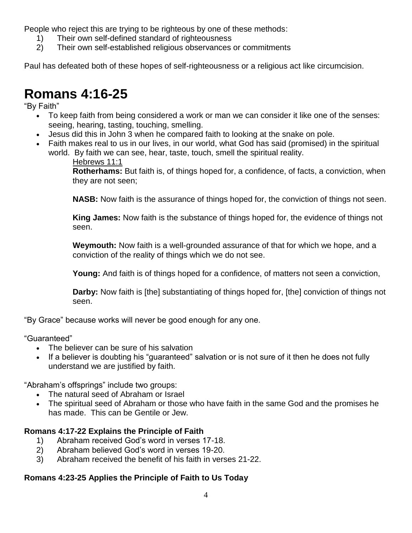People who reject this are trying to be righteous by one of these methods:

- 1) Their own self-defined standard of righteousness
- 2) Their own self-established religious observances or commitments

Paul has defeated both of these hopes of self-righteousness or a religious act like circumcision.

# **Romans 4:16-25**

"By Faith"

- To keep faith from being considered a work or man we can consider it like one of the senses: seeing, hearing, tasting, touching, smelling.
- Jesus did this in John 3 when he compared faith to looking at the snake on pole.
- Faith makes real to us in our lives, in our world, what God has said (promised) in the spiritual world. By faith we can see, hear, taste, touch, smell the spiritual reality.
	- Hebrews 11:1

**Rotherhams:** But faith is, of things hoped for, a confidence, of facts, a conviction, when they are not seen;

**NASB:** Now faith is the assurance of things hoped for, the conviction of things not seen.

**King James:** Now faith is the substance of things hoped for, the evidence of things not seen.

**Weymouth:** Now faith is a well-grounded assurance of that for which we hope, and a conviction of the reality of things which we do not see.

**Young:** And faith is of things hoped for a confidence, of matters not seen a conviction,

**Darby:** Now faith is [the] substantiating of things hoped for, [the] conviction of things not seen.

"By Grace" because works will never be good enough for any one.

"Guaranteed"

- The believer can be sure of his salvation
- If a believer is doubting his "guaranteed" salvation or is not sure of it then he does not fully understand we are justified by faith.

"Abraham's offsprings" include two groups:

- The natural seed of Abraham or Israel
- The spiritual seed of Abraham or those who have faith in the same God and the promises he has made. This can be Gentile or Jew.

## **Romans 4:17-22 Explains the Principle of Faith**

- 1) Abraham received God's word in verses 17-18.
- 2) Abraham believed God's word in verses 19-20.
- 3) Abraham received the benefit of his faith in verses 21-22.

## **Romans 4:23-25 Applies the Principle of Faith to Us Today**